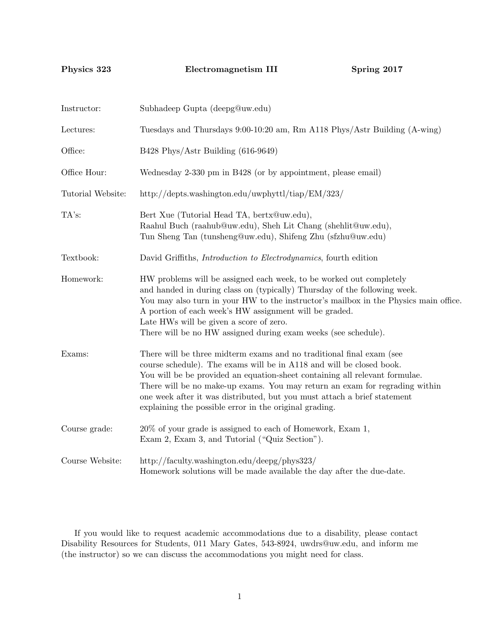Physics 323 Electromagnetism III Spring 2017

| Instructor:       | Subhadeep Gupta (deepg@uw.edu)                                                                                                                                                                                                                                                                                                                                                                                                                   |  |  |
|-------------------|--------------------------------------------------------------------------------------------------------------------------------------------------------------------------------------------------------------------------------------------------------------------------------------------------------------------------------------------------------------------------------------------------------------------------------------------------|--|--|
| Lectures:         | Tuesdays and Thursdays 9:00-10:20 am, Rm A118 Phys/Astr Building (A-wing)                                                                                                                                                                                                                                                                                                                                                                        |  |  |
| Office:           | B428 Phys/Astr Building (616-9649)                                                                                                                                                                                                                                                                                                                                                                                                               |  |  |
| Office Hour:      | Wednesday 2-330 pm in B428 (or by appointment, please email)                                                                                                                                                                                                                                                                                                                                                                                     |  |  |
| Tutorial Website: | http://depts.washington.edu/uwphyttl/tiap/ $EM/323/$                                                                                                                                                                                                                                                                                                                                                                                             |  |  |
| TA's:             | Bert Xue (Tutorial Head TA, bertx@uw.edu),<br>Raahul Buch (raahub@uw.edu), Sheh Lit Chang (shehlit@uw.edu),<br>Tun Sheng Tan (tunsheng@uw.edu), Shifeng Zhu (sfzhu@uw.edu)                                                                                                                                                                                                                                                                       |  |  |
| Textbook:         | David Griffiths, <i>Introduction to Electrodynamics</i> , fourth edition                                                                                                                                                                                                                                                                                                                                                                         |  |  |
| Homework:         | HW problems will be assigned each week, to be worked out completely<br>and handed in during class on (typically) Thursday of the following week.<br>You may also turn in your HW to the instructor's mailbox in the Physics main office.<br>A portion of each week's HW assignment will be graded.<br>Late HWs will be given a score of zero.<br>There will be no HW assigned during exam weeks (see schedule).                                  |  |  |
| Exams:            | There will be three midterm exams and no traditional final exam (see<br>course schedule). The exams will be in A118 and will be closed book.<br>You will be be provided an equation-sheet containing all relevant formulae.<br>There will be no make-up exams. You may return an exam for regrading within<br>one week after it was distributed, but you must attach a brief statement<br>explaining the possible error in the original grading. |  |  |
| Course grade:     | 20% of your grade is assigned to each of Homework, Exam 1,<br>Exam 2, Exam 3, and Tutorial ("Quiz Section").                                                                                                                                                                                                                                                                                                                                     |  |  |
| Course Website:   | http://faculty.washington.edu/deepg/phys323/<br>Homework solutions will be made available the day after the due-date.                                                                                                                                                                                                                                                                                                                            |  |  |

If you would like to request academic accommodations due to a disability, please contact Disability Resources for Students, 011 Mary Gates, 543-8924, uwdrs@uw.edu, and inform me (the instructor) so we can discuss the accommodations you might need for class.